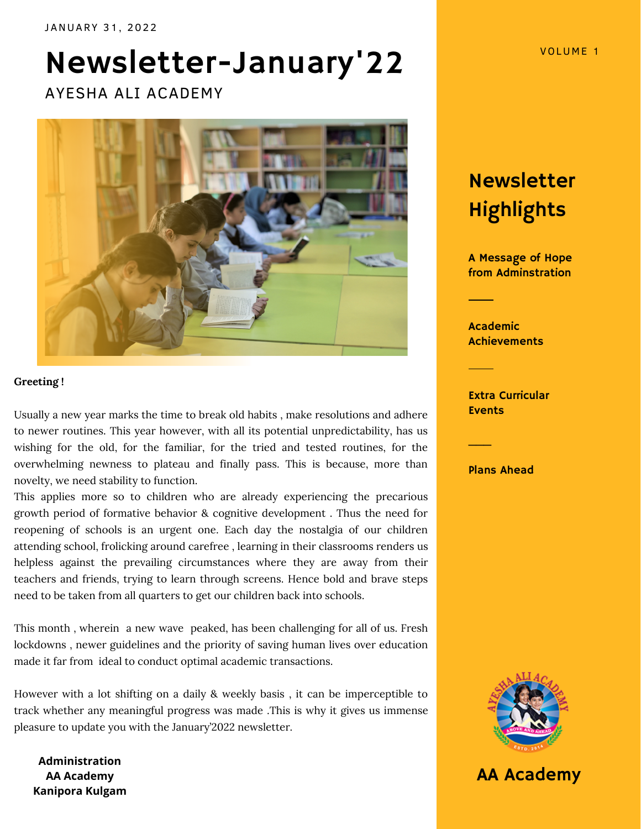# Newsletter-January'22

AYESHA ALI ACADEMY



#### **Greeting !**

Usually a new year marks the time to break old habits , make resolutions and adhere to newer routines. This year however, with all its potential unpredictability, has us wishing for the old, for the familiar, for the tried and tested routines, for the overwhelming newness to plateau and finally pass. This is because, more than novelty, we need stability to function.

This applies more so to children who are already experiencing the precarious growth period of formative behavior & cognitive development . Thus the need for reopening of schools is an urgent one. Each day the nostalgia of our children attending school, frolicking around carefree , learning in their classrooms renders us helpless against the prevailing circumstances where they are away from their teachers and friends, trying to learn through screens. Hence bold and brave steps need to be taken from all quarters to get our children back into schools.

This month , wherein a new wave peaked, has been challenging for all of us. Fresh lockdowns , newer guidelines and the priority of saving human lives over education made it far from ideal to conduct optimal academic transactions.

However with a lot shifting on a daily & weekly basis , it can be imperceptible to track whether any meaningful progress was made .This is why it gives us immense pleasure to update you with the January'2022 newsletter.

**Administration AA Academy Kanipora Kulgam**

Newsletter **Highlights** 

A Message of Hope from Adminstration

Academic **Achievements** 

Extra Curricular Events

Plans Ahead

 $\mathcal{L}_{\mathcal{L}}$ 



AA Academy

VOLUME 1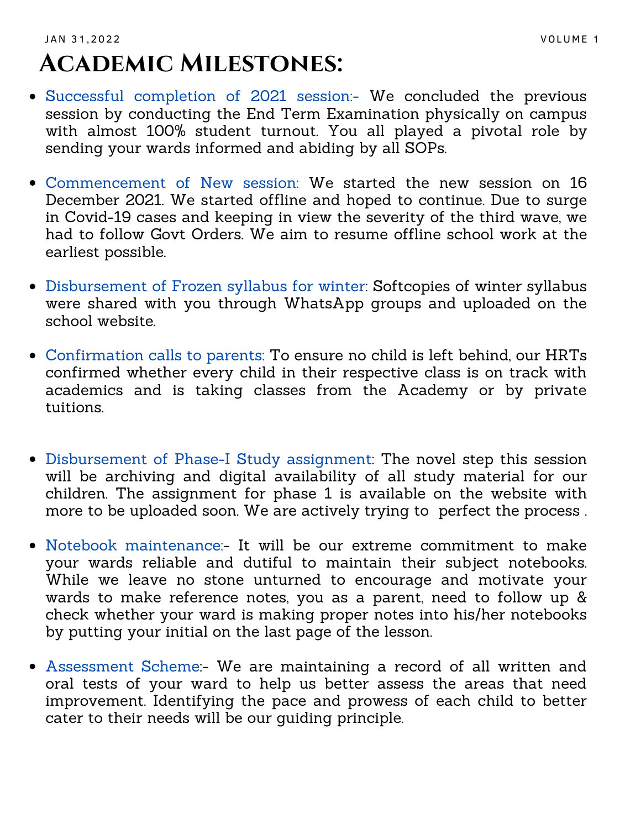### JAN 31,2022 VOLUME 1 **Academic Milestones:**

- Successful completion of 2021 session:- We concluded the previous session by conducting the End Term Examination physically on campus with almost 100% student turnout. You all played a pivotal role by sending your wards informed and abiding by all SOPs.
- Commencement of New session: We started the new session on 16 December 2021. We started offline and hoped to continue. Due to surge in Covid-19 cases and keeping in view the severity of the third wave, we had to follow Govt Orders. We aim to resume offline school work at the earliest possible.
- Disbursement of Frozen syllabus for winter: Softcopies of winter syllabus were shared with you through WhatsApp groups and uploaded on the school website.
- Confirmation calls to parents: To ensure no child is left behind, our HRTs confirmed whether every child in their respective class is on track with academics and is taking classes from the Academy or by private tuitions.
- Disbursement of Phase-I Study assignment: The novel step this session will be archiving and digital availability of all study material for our children. The assignment for phase 1 is available on the website with more to be uploaded soon. We are actively trying to perfect the process .
- Notebook maintenance:- It will be our extreme commitment to make your wards reliable and dutiful to maintain their subject notebooks. While we leave no stone unturned to encourage and motivate your wards to make reference notes, you as a parent, need to follow up & check whether your ward is making proper notes into his/her notebooks by putting your initial on the last page of the lesson.
- Assessment Scheme:- We are maintaining a record of all written and oral tests of your ward to help us better assess the areas that need improvement. Identifying the pace and prowess of each child to better cater to their needs will be our guiding principle.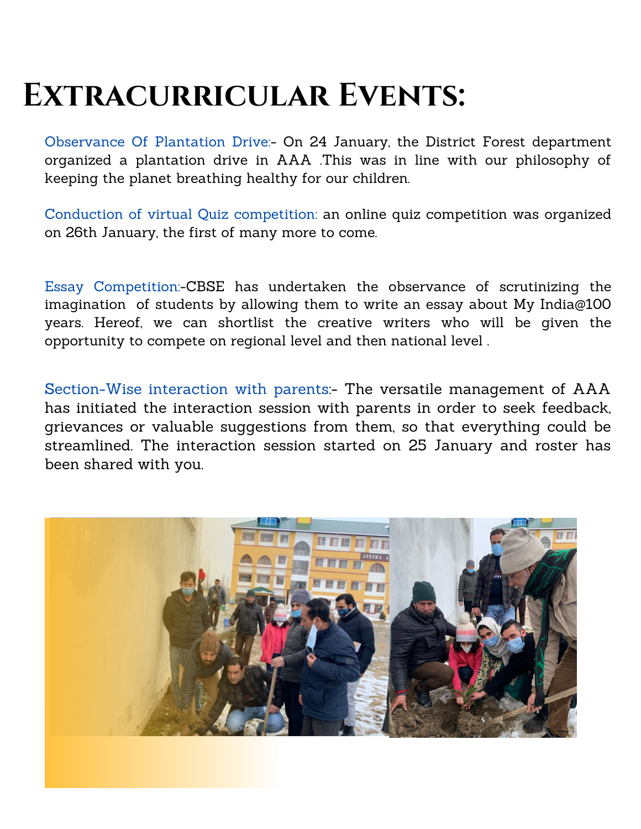## **Extracurricular Events:**

Observance Of Plantation Drive:- On 24 January, the District Forest department organized a plantation drive in AAA .This was in line with our philosophy of keeping the planet breathing healthy for our children.

Conduction of virtual Quiz competition: an online quiz competition was organized on 26th January, the first of many more to come.

Essay Competition:-CBSE has undertaken the observance of scrutinizing the imagination of students by allowing them to write an essay about My India@100 years. Hereof, we can shortlist the creative writers who will be given the opportunity to compete on regional level and then national level .

Section-Wise interaction with parents:- The versatile management of AAA has initiated the interaction session with parents in order to seek feedback, grievances or valuable suggestions from them, so that everything could be streamlined. The interaction session started on 25 January and roster has been shared with you.